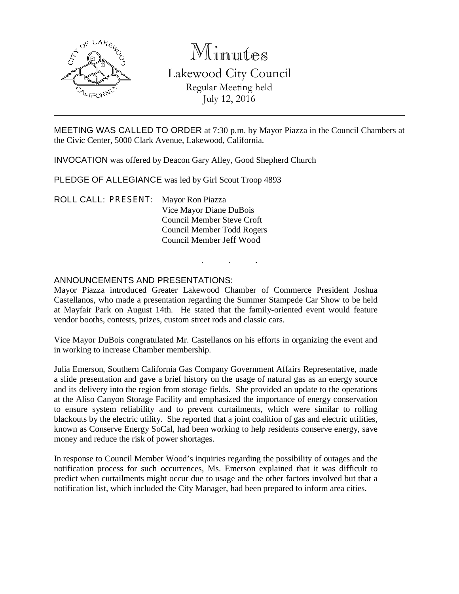

# Minutes Lakewood City Council Regular Meeting held July 12, 2016

MEETING WAS CALLED TO ORDER at 7:30 p.m. by Mayor Piazza in the Council Chambers at the Civic Center, 5000 Clark Avenue, Lakewood, California.

INVOCATION was offered by Deacon Gary Alley, Good Shepherd Church

PLEDGE OF ALLEGIANCE was led by Girl Scout Troop 4893

ROLL CALL: PRESENT: Mayor Ron Piazza Vice Mayor Diane DuBois Council Member Steve Croft Council Member Todd Rogers Council Member Jeff Wood

### ANNOUNCEMENTS AND PRESENTATIONS:

Mayor Piazza introduced Greater Lakewood Chamber of Commerce President Joshua Castellanos, who made a presentation regarding the Summer Stampede Car Show to be held at Mayfair Park on August 14th. He stated that the family-oriented event would feature vendor booths, contests, prizes, custom street rods and classic cars.

. . .

Vice Mayor DuBois congratulated Mr. Castellanos on his efforts in organizing the event and in working to increase Chamber membership.

Julia Emerson, Southern California Gas Company Government Affairs Representative, made a slide presentation and gave a brief history on the usage of natural gas as an energy source and its delivery into the region from storage fields. She provided an update to the operations at the Aliso Canyon Storage Facility and emphasized the importance of energy conservation to ensure system reliability and to prevent curtailments, which were similar to rolling blackouts by the electric utility. She reported that a joint coalition of gas and electric utilities, known as Conserve Energy SoCal, had been working to help residents conserve energy, save money and reduce the risk of power shortages.

In response to Council Member Wood's inquiries regarding the possibility of outages and the notification process for such occurrences, Ms. Emerson explained that it was difficult to predict when curtailments might occur due to usage and the other factors involved but that a notification list, which included the City Manager, had been prepared to inform area cities.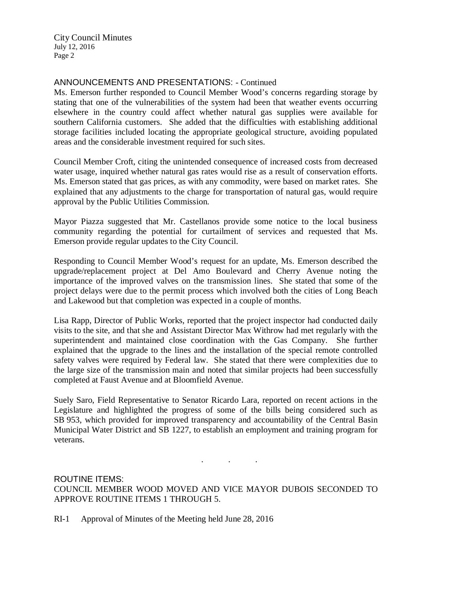City Council Minutes July 12, 2016 Page 2

## ANNOUNCEMENTS AND PRESENTATIONS: - Continued

Ms. Emerson further responded to Council Member Wood's concerns regarding storage by stating that one of the vulnerabilities of the system had been that weather events occurring elsewhere in the country could affect whether natural gas supplies were available for southern California customers. She added that the difficulties with establishing additional storage facilities included locating the appropriate geological structure, avoiding populated areas and the considerable investment required for such sites.

Council Member Croft, citing the unintended consequence of increased costs from decreased water usage, inquired whether natural gas rates would rise as a result of conservation efforts. Ms. Emerson stated that gas prices, as with any commodity, were based on market rates. She explained that any adjustments to the charge for transportation of natural gas, would require approval by the Public Utilities Commission.

Mayor Piazza suggested that Mr. Castellanos provide some notice to the local business community regarding the potential for curtailment of services and requested that Ms. Emerson provide regular updates to the City Council.

Responding to Council Member Wood's request for an update, Ms. Emerson described the upgrade/replacement project at Del Amo Boulevard and Cherry Avenue noting the importance of the improved valves on the transmission lines. She stated that some of the project delays were due to the permit process which involved both the cities of Long Beach and Lakewood but that completion was expected in a couple of months.

Lisa Rapp, Director of Public Works, reported that the project inspector had conducted daily visits to the site, and that she and Assistant Director Max Withrow had met regularly with the superintendent and maintained close coordination with the Gas Company. She further explained that the upgrade to the lines and the installation of the special remote controlled safety valves were required by Federal law. She stated that there were complexities due to the large size of the transmission main and noted that similar projects had been successfully completed at Faust Avenue and at Bloomfield Avenue.

Suely Saro, Field Representative to Senator Ricardo Lara, reported on recent actions in the Legislature and highlighted the progress of some of the bills being considered such as SB 953, which provided for improved transparency and accountability of the Central Basin Municipal Water District and SB 1227, to establish an employment and training program for veterans.

ROUTINE ITEMS: COUNCIL MEMBER WOOD MOVED AND VICE MAYOR DUBOIS SECONDED TO APPROVE ROUTINE ITEMS 1 THROUGH 5.

. . .

RI-1 Approval of Minutes of the Meeting held June 28, 2016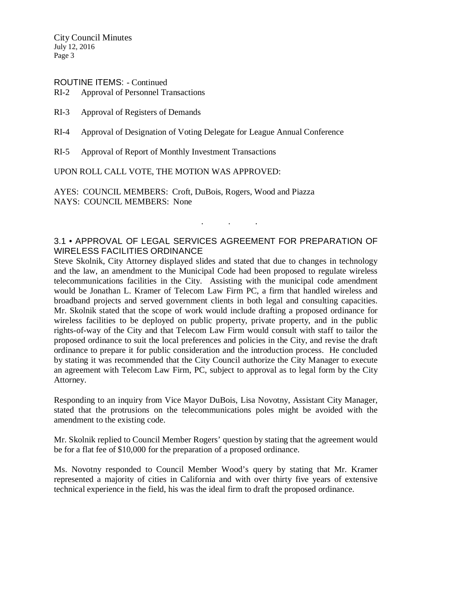City Council Minutes July 12, 2016 Page 3

# ROUTINE ITEMS: - Continued

RI-2 Approval of Personnel Transactions

- RI-3 Approval of Registers of Demands
- RI-4 Approval of Designation of Voting Delegate for League Annual Conference
- RI-5 Approval of Report of Monthly Investment Transactions

UPON ROLL CALL VOTE, THE MOTION WAS APPROVED:

AYES: COUNCIL MEMBERS: Croft, DuBois, Rogers, Wood and Piazza NAYS: COUNCIL MEMBERS: None

# 3.1 • APPROVAL OF LEGAL SERVICES AGREEMENT FOR PREPARATION OF WIRELESS FACILITIES ORDINANCE

. . .

Steve Skolnik, City Attorney displayed slides and stated that due to changes in technology and the law, an amendment to the Municipal Code had been proposed to regulate wireless telecommunications facilities in the City. Assisting with the municipal code amendment would be Jonathan L. Kramer of Telecom Law Firm PC, a firm that handled wireless and broadband projects and served government clients in both legal and consulting capacities. Mr. Skolnik stated that the scope of work would include drafting a proposed ordinance for wireless facilities to be deployed on public property, private property, and in the public rights-of-way of the City and that Telecom Law Firm would consult with staff to tailor the proposed ordinance to suit the local preferences and policies in the City, and revise the draft ordinance to prepare it for public consideration and the introduction process. He concluded by stating it was recommended that the City Council authorize the City Manager to execute an agreement with Telecom Law Firm, PC, subject to approval as to legal form by the City Attorney.

Responding to an inquiry from Vice Mayor DuBois, Lisa Novotny, Assistant City Manager, stated that the protrusions on the telecommunications poles might be avoided with the amendment to the existing code.

Mr. Skolnik replied to Council Member Rogers' question by stating that the agreement would be for a flat fee of \$10,000 for the preparation of a proposed ordinance.

Ms. Novotny responded to Council Member Wood's query by stating that Mr. Kramer represented a majority of cities in California and with over thirty five years of extensive technical experience in the field, his was the ideal firm to draft the proposed ordinance.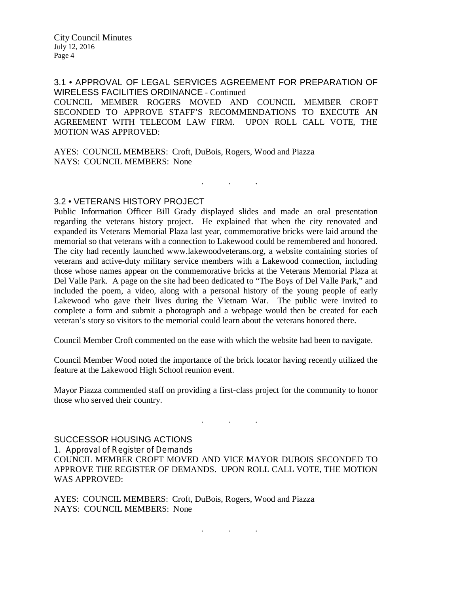3.1 • APPROVAL OF LEGAL SERVICES AGREEMENT FOR PREPARATION OF WIRELESS FACILITIES ORDINANCE - Continued COUNCIL MEMBER ROGERS MOVED AND COUNCIL MEMBER CROFT SECONDED TO APPROVE STAFF'S RECOMMENDATIONS TO EXECUTE AN AGREEMENT WITH TELECOM LAW FIRM. UPON ROLL CALL VOTE, THE MOTION WAS APPROVED:

AYES: COUNCIL MEMBERS: Croft, DuBois, Rogers, Wood and Piazza NAYS: COUNCIL MEMBERS: None

. . .

#### 3.2 • VETERANS HISTORY PROJECT

Public Information Officer Bill Grady displayed slides and made an oral presentation regarding the veterans history project. He explained that when the city renovated and expanded its Veterans Memorial Plaza last year, commemorative bricks were laid around the memorial so that veterans with a connection to Lakewood could be remembered and honored. The city had recently launched www.lakewoodveterans.org, a website containing stories of veterans and active-duty military service members with a Lakewood connection, including those whose names appear on the commemorative bricks at the Veterans Memorial Plaza at Del Valle Park. A page on the site had been dedicated to "The Boys of Del Valle Park," and included the poem, a video, along with a personal history of the young people of early Lakewood who gave their lives during the Vietnam War. The public were invited to complete a form and submit a photograph and a webpage would then be created for each veteran's story so visitors to the memorial could learn about the veterans honored there.

Council Member Croft commented on the ease with which the website had been to navigate.

Council Member Wood noted the importance of the brick locator having recently utilized the feature at the Lakewood High School reunion event.

Mayor Piazza commended staff on providing a first-class project for the community to honor those who served their country.

. . .

#### SUCCESSOR HOUSING ACTIONS

1. Approval of Register of Demands

COUNCIL MEMBER CROFT MOVED AND VICE MAYOR DUBOIS SECONDED TO APPROVE THE REGISTER OF DEMANDS. UPON ROLL CALL VOTE, THE MOTION WAS APPROVED:

AYES: COUNCIL MEMBERS: Croft, DuBois, Rogers, Wood and Piazza NAYS: COUNCIL MEMBERS: None

. . .